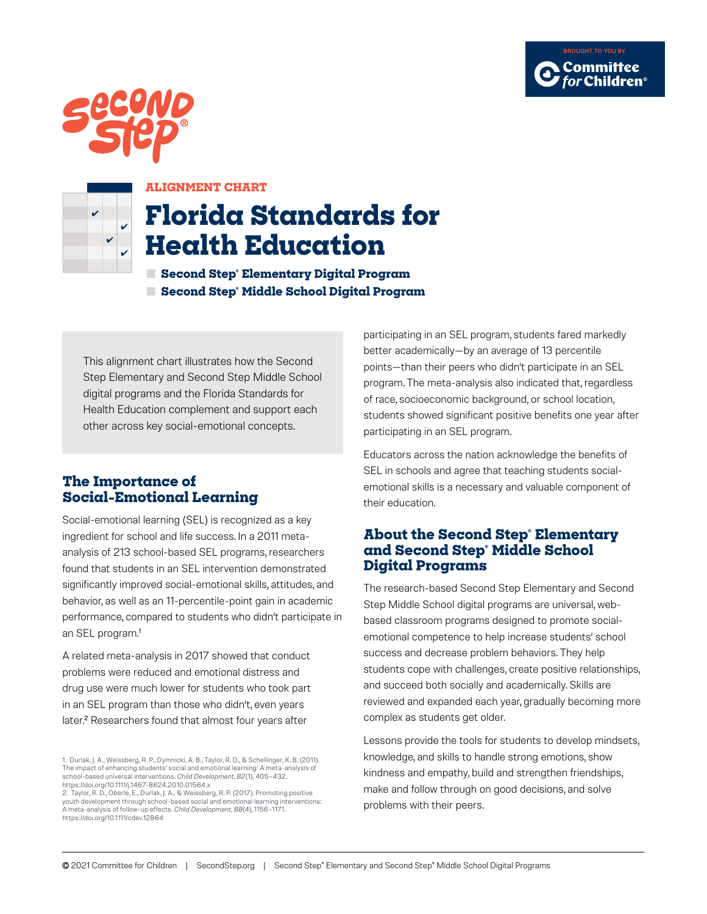





#### **ALIGNMENT CHART**

# **Florida Standards for Health Education**

**■ Second Step® Elementary Digital Program ■ Second Step® Middle School Digital Program**

This alignment chart illustrates how the Second Step Elementary and Second Step Middle School digital programs and the Florida Standards for Health Education complement and support each other across key social-emotional concepts.

#### **The Importance of Social-Emotional Learning**

Social-emotional learning (SEL) is recognized as a key ingredient for school and life success. In a 2011 metaanalysis of 213 school-based SEL programs, researchers found that students in an SEL intervention demonstrated significantly improved social-emotional skills, attitudes, and behavior, as well as an 11-percentile-point gain in academic performance, compared to students who didn't participate in an SEL program.<sup>1</sup>

A related meta-analysis in 2017 showed that conduct problems were reduced and emotional distress and drug use were much lower for students who took part in an SEL program than those who didn't, even years later.<sup>2</sup> Researchers found that almost four years after

participating in an SEL program, students fared markedly better academically—by an average of 13 percentile points—than their peers who didn't participate in an SEL program. The meta-analysis also indicated that, regardless of race, socioeconomic background, or school location, students showed significant positive benefits one year after participating in an SEL program.

Educators across the nation acknowledge the benefits of SEL in schools and agree that teaching students socialemotional skills is a necessary and valuable component of their education.

#### **About the Second Step® Elementary and Second Step® Middle School Digital Programs**

The research-based Second Step Elementary and Second Step Middle School digital programs are universal, webbased classroom programs designed to promote socialemotional competence to help increase students' school success and decrease problem behaviors. They help students cope with challenges, create positive relationships, and succeed both socially and academically. Skills are reviewed and expanded each year, gradually becoming more complex as students get older.

Lessons provide the tools for students to develop mindsets, knowledge, and skills to handle strong emotions, show kindness and empathy, build and strengthen friendships, make and follow through on good decisions, and solve problems with their peers.

<sup>1.</sup> Durlak, J. A., Weissberg, R. P., Dymnicki, A. B., Taylor, R. D., & Schellinger, K. B. (2011).<br>The impact of enhancing students' social and emotional learning: A meta-analysis of school-based universal interventions. *Child Development, 82*(1), 405–432.

<https://doi.org/10.1111/j.1467-8624.2010.01564.x> 2. Taylor, R. D., Oberle, E., Durlak, J. A., & Weissberg, R. P. (2017). Promoting positive youth development through school-based social and emotional learning interventions: A meta-analysis of follow-up effects. *Child Development, 88*(4), 1156–1171. https://doi.org/10.1111/cdev.12864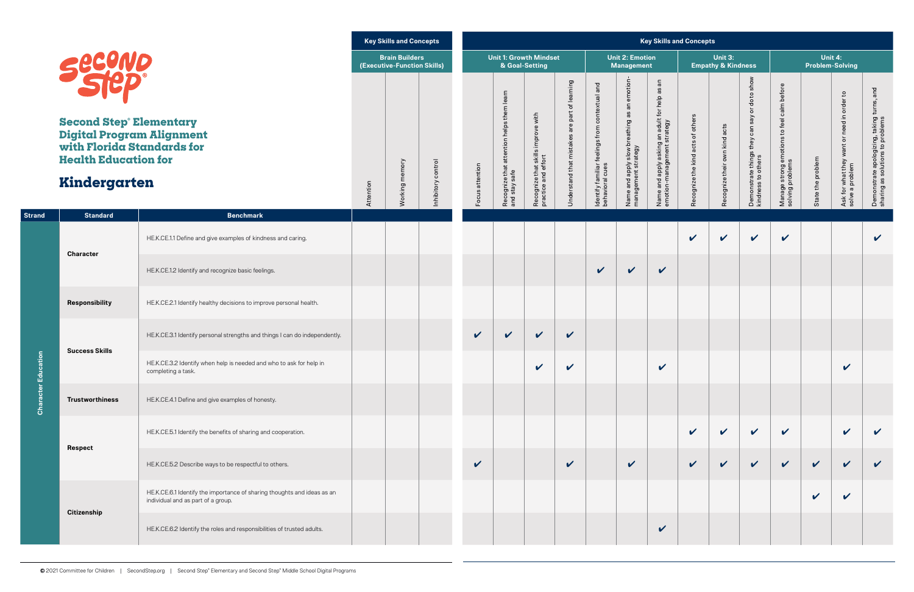|               |                                                                                                                                                           |                                                                                                               |           | <b>Key Skills and Concepts</b>                       |                    |                            |                                                               |                                                           |                                                                         |                                                                      |                                                                    | <b>Key Skills and Concepts</b>                                                                               |                                   |                                          |                                                                                                               |                                                                   |                                   |                                                               |                                                                                   |
|---------------|-----------------------------------------------------------------------------------------------------------------------------------------------------------|---------------------------------------------------------------------------------------------------------------|-----------|------------------------------------------------------|--------------------|----------------------------|---------------------------------------------------------------|-----------------------------------------------------------|-------------------------------------------------------------------------|----------------------------------------------------------------------|--------------------------------------------------------------------|--------------------------------------------------------------------------------------------------------------|-----------------------------------|------------------------------------------|---------------------------------------------------------------------------------------------------------------|-------------------------------------------------------------------|-----------------------------------|---------------------------------------------------------------|-----------------------------------------------------------------------------------|
|               |                                                                                                                                                           |                                                                                                               |           | <b>Brain Builders</b><br>(Executive-Function Skills) |                    |                            | <b>Unit 1: Growth Mindset</b><br>& Goal-Setting               |                                                           |                                                                         |                                                                      | <b>Unit 2: Emotion</b><br><b>Management</b>                        |                                                                                                              |                                   | Unit 3:<br><b>Empathy &amp; Kindness</b> |                                                                                                               |                                                                   | Unit 4:<br><b>Problem-Solving</b> |                                                               |                                                                                   |
|               | <b>SecoND</b><br><b>Second Step® Elementary</b><br>Digital Program Alignment<br>with Florida Standards for<br><b>Health Education for</b><br>Kindergarten |                                                                                                               | Attention | Working memory                                       | Inhibitory control | Focus attention            | them learn<br>Recognize that attention helps<br>and stay safe | Recognize that skills improve with<br>practice and effort | learning<br>$\overline{\sigma}$<br>are part<br>Jnderstand that mistakes | and<br>ldentify familiar feelings from contextual<br>behavioral cues | Name and apply slow breathing as an emotion<br>management strategy | $\frac{\mathsf{c}}{\mathsf{a}}$<br>Name and apply asking an adult for help as<br>emotion-management strategy | Recognize the kind acts of others | Recognize their own kind acts            | to show<br>$\frac{Q}{Q}$<br>$\overleftarrow{\sigma}$<br>Demonstrate things they can say<br>kindness to others | to feel calm before<br>Manage strong emotions<br>solving problems | State the problem                 | Ask for what they want or need in order to<br>solve a problem | turns, and<br>Demonstrate apologizing, taking<br>sharing as solutions to problems |
| <b>Strand</b> | <b>Standard</b>                                                                                                                                           | <b>Benchmark</b>                                                                                              |           |                                                      |                    |                            |                                                               |                                                           |                                                                         |                                                                      |                                                                    |                                                                                                              |                                   |                                          |                                                                                                               |                                                                   |                                   |                                                               |                                                                                   |
|               |                                                                                                                                                           | HE.K.CE.1.1 Define and give examples of kindness and caring.                                                  |           |                                                      |                    |                            |                                                               |                                                           |                                                                         |                                                                      |                                                                    |                                                                                                              | $\boldsymbol{\mathcal{U}}$        | $\checkmark$                             | $\checkmark$                                                                                                  | $\boldsymbol{\mathcal{U}}$                                        |                                   |                                                               | $\boldsymbol{\mathcal{U}}$                                                        |
|               | <b>Character</b>                                                                                                                                          | HE.K.CE.1.2 Identify and recognize basic feelings.                                                            |           |                                                      |                    |                            |                                                               |                                                           |                                                                         | $\checkmark$                                                         | $\checkmark$                                                       | $\checkmark$                                                                                                 |                                   |                                          |                                                                                                               |                                                                   |                                   |                                                               |                                                                                   |
|               | Responsibility                                                                                                                                            | HE.K.CE.2.1 Identify healthy decisions to improve personal health.                                            |           |                                                      |                    |                            |                                                               |                                                           |                                                                         |                                                                      |                                                                    |                                                                                                              |                                   |                                          |                                                                                                               |                                                                   |                                   |                                                               |                                                                                   |
|               | <b>Success Skills</b>                                                                                                                                     | HE.K.CE.3.1 Identify personal strengths and things I can do independently.                                    |           |                                                      |                    | $\checkmark$               | $\checkmark$                                                  | $\checkmark$                                              | $\checkmark$                                                            |                                                                      |                                                                    |                                                                                                              |                                   |                                          |                                                                                                               |                                                                   |                                   |                                                               |                                                                                   |
| ation         |                                                                                                                                                           | HE.K.CE.3.2 Identify when help is needed and who to ask for help in<br>completing a task.                     |           |                                                      |                    |                            |                                                               | $\mathbf{z}$                                              | $\mathbf v$                                                             |                                                                      |                                                                    | $\overline{\mathbf{z}}$                                                                                      |                                   |                                          |                                                                                                               |                                                                   |                                   | $\overline{\mathbf{z}}$                                       |                                                                                   |
| Character Edu | <b>Trustworthiness</b>                                                                                                                                    | HE.K.CE.4.1 Define and give examples of honesty.                                                              |           |                                                      |                    |                            |                                                               |                                                           |                                                                         |                                                                      |                                                                    |                                                                                                              |                                   |                                          |                                                                                                               |                                                                   |                                   |                                                               |                                                                                   |
|               | <b>Respect</b>                                                                                                                                            | HE.K.CE.5.1 Identify the benefits of sharing and cooperation.                                                 |           |                                                      |                    |                            |                                                               |                                                           |                                                                         |                                                                      |                                                                    |                                                                                                              | $\mathbf v$                       | $\mathbf v$                              | $\checkmark$                                                                                                  | $\checkmark$                                                      |                                   | $\mathbf v$                                                   | $\checkmark$                                                                      |
|               |                                                                                                                                                           | HE.K.CE.5.2 Describe ways to be respectful to others.                                                         |           |                                                      |                    | $\boldsymbol{\mathcal{U}}$ |                                                               |                                                           | $\checkmark$                                                            |                                                                      | $\checkmark$                                                       |                                                                                                              | $\checkmark$                      | $\checkmark$                             | $\sqrt{2}$                                                                                                    | $\checkmark$                                                      | $\checkmark$                      | $\checkmark$                                                  | $\checkmark$                                                                      |
|               |                                                                                                                                                           | HE.K.CE.6.1 Identify the importance of sharing thoughts and ideas as an<br>individual and as part of a group. |           |                                                      |                    |                            |                                                               |                                                           |                                                                         |                                                                      |                                                                    |                                                                                                              |                                   |                                          |                                                                                                               |                                                                   | $\mathbf v$                       | $\boldsymbol{\mathcal{U}}$                                    |                                                                                   |
|               | <b>Citizenship</b>                                                                                                                                        | HE.K.CE.6.2 Identify the roles and responsibilities of trusted adults.                                        |           |                                                      |                    |                            |                                                               |                                                           |                                                                         |                                                                      |                                                                    | $\checkmark$                                                                                                 |                                   |                                          |                                                                                                               |                                                                   |                                   |                                                               |                                                                                   |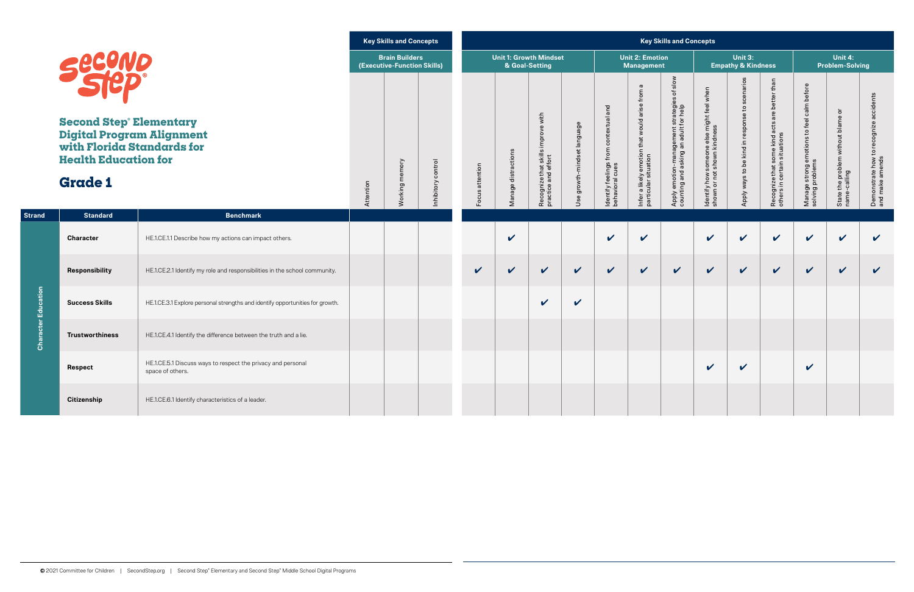|               |                                                                                                                                                                                  |                                                                                  |           | <b>Key Skills and Concepts</b>                       |                    |                 |                     |                                                           |                             |                                                          |                                                                                  | <b>Key Skills and Concepts</b>                                                          |                                                                                   |                                                |                                                                               |                                                                                   |                                                                                |                                                              |
|---------------|----------------------------------------------------------------------------------------------------------------------------------------------------------------------------------|----------------------------------------------------------------------------------|-----------|------------------------------------------------------|--------------------|-----------------|---------------------|-----------------------------------------------------------|-----------------------------|----------------------------------------------------------|----------------------------------------------------------------------------------|-----------------------------------------------------------------------------------------|-----------------------------------------------------------------------------------|------------------------------------------------|-------------------------------------------------------------------------------|-----------------------------------------------------------------------------------|--------------------------------------------------------------------------------|--------------------------------------------------------------|
|               |                                                                                                                                                                                  |                                                                                  |           | <b>Brain Builders</b><br>(Executive-Function Skills) |                    |                 | & Goal-Setting      | <b>Unit 1: Growth Mindset</b>                             |                             |                                                          | <b>Unit 2: Emotion</b><br>Management                                             |                                                                                         |                                                                                   | Unit 3:<br><b>Empathy &amp; Kindness</b>       |                                                                               |                                                                                   | Unit 4:<br><b>Problem-Solving</b>                                              |                                                              |
|               | <b>Second Step Elementary</b><br>Digital Program Alignment<br>with Florida Standards for<br><b>Health Education for</b><br><b>Grade 1</b><br><b>Standard</b><br><b>Benchmark</b> |                                                                                  | Attention | Working memory                                       | Inhibitory control | Focus attention | Manage distractions | Recognize that skills improve with<br>practice and effort | Jse growth-mindset language | ldentify feelings from contextual and<br>behavioral cues | $\omega$<br>Infer a likely emotion that would arise from<br>particular situation | of slow<br>Apply emotion-management strategies<br>counting and asking an adult for help | , might feel when<br>ess<br>dentify how someone else<br>shown or not shown kindne | Apply ways to be kind in response to scenarios | Recognize that some kind acts are better than<br>others in certain situations | calm before<br>feel<br>$\mathtt{S}$<br>Manage strong emotions<br>solving problems | $\overline{\sigma}$<br>the problem without blame<br>-calling<br>State<br>name- | accidents<br>Demonstrate how to recognize<br>and make amends |
| <b>Strand</b> |                                                                                                                                                                                  |                                                                                  |           |                                                      |                    |                 |                     |                                                           |                             |                                                          |                                                                                  |                                                                                         |                                                                                   |                                                |                                                                               |                                                                                   |                                                                                |                                                              |
|               | <b>Character</b>                                                                                                                                                                 | HE.1.CE.1.1 Describe how my actions can impact others.                           |           |                                                      |                    |                 | $\boldsymbol{\nu}$  |                                                           |                             | $\mathbf v$                                              | $\checkmark$                                                                     |                                                                                         | $\boldsymbol{\mathcal{U}}$                                                        | $\boldsymbol{\mathcal{U}}$                     | $\boldsymbol{\nu}$                                                            | $\checkmark$                                                                      | $\mathbf v$                                                                    | $\checkmark$                                                 |
|               | Responsibility                                                                                                                                                                   | HE.1.CE.2.1 Identify my role and responsibilities in the school community.       |           |                                                      |                    | V               | $\mathbf{v}$        | $\mathbf v$                                               | $\checkmark$                | $\checkmark$                                             | $\checkmark$                                                                     | $\checkmark$                                                                            | $\mathbf v$                                                                       | $\checkmark$                                   | $\boldsymbol{\mathcal{U}}$                                                    | $\checkmark$                                                                      | $\checkmark$                                                                   | $\checkmark$                                                 |
| Education     | <b>Success Skills</b>                                                                                                                                                            | HE.1.CE.3.1 Explore personal strengths and identify opportunities for growth.    |           |                                                      |                    |                 |                     | $\boldsymbol{\mathcal{U}}$                                | $\checkmark$                |                                                          |                                                                                  |                                                                                         |                                                                                   |                                                |                                                                               |                                                                                   |                                                                                |                                                              |
| Character     | <b>Trustworthiness</b>                                                                                                                                                           | HE.1.CE.4.1 Identify the difference between the truth and a lie.                 |           |                                                      |                    |                 |                     |                                                           |                             |                                                          |                                                                                  |                                                                                         |                                                                                   |                                                |                                                                               |                                                                                   |                                                                                |                                                              |
|               | <b>Respect</b>                                                                                                                                                                   | HE.1.CE.5.1 Discuss ways to respect the privacy and personal<br>space of others. |           |                                                      |                    |                 |                     |                                                           |                             |                                                          |                                                                                  |                                                                                         | $\boldsymbol{\mathcal{U}}$                                                        | $\checkmark$                                   |                                                                               | $\checkmark$                                                                      |                                                                                |                                                              |
|               | <b>Citizenship</b>                                                                                                                                                               | HE.1.CE.6.1 Identify characteristics of a leader.                                |           |                                                      |                    |                 |                     |                                                           |                             |                                                          |                                                                                  |                                                                                         |                                                                                   |                                                |                                                                               |                                                                                   |                                                                                |                                                              |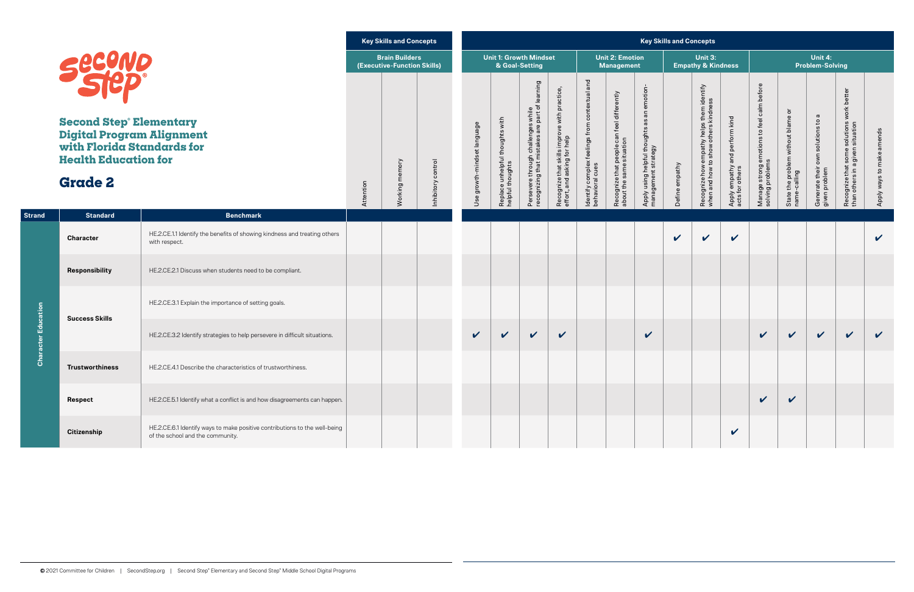|                |                                                                                                                                                                   |                                                                                                                | <b>Key Skills and Concepts</b> |                                                      |                                    |                             |                                                     |                                                                                                   |                                                                             |                                                                     | <b>Key Skills and Concepts</b>                                         |                                                                       |                |                                                                                   |                                                   |                                                                |                                                      |                                                         |                                                                                     |                           |
|----------------|-------------------------------------------------------------------------------------------------------------------------------------------------------------------|----------------------------------------------------------------------------------------------------------------|--------------------------------|------------------------------------------------------|------------------------------------|-----------------------------|-----------------------------------------------------|---------------------------------------------------------------------------------------------------|-----------------------------------------------------------------------------|---------------------------------------------------------------------|------------------------------------------------------------------------|-----------------------------------------------------------------------|----------------|-----------------------------------------------------------------------------------|---------------------------------------------------|----------------------------------------------------------------|------------------------------------------------------|---------------------------------------------------------|-------------------------------------------------------------------------------------|---------------------------|
|                |                                                                                                                                                                   |                                                                                                                |                                | <b>Brain Builders</b><br>(Executive-Function Skills) |                                    |                             | <b>Unit 1: Growth Mindset</b><br>& Goal-Setting     |                                                                                                   |                                                                             |                                                                     | <b>Unit 2: Emotion</b><br><b>Management</b>                            |                                                                       |                | Unit 3:<br><b>Empathy &amp; Kindness</b>                                          |                                                   |                                                                |                                                      | Unit 4:<br><b>Problem-Solving</b>                       |                                                                                     |                           |
|                | <b>Second</b><br><b>Second Step Elementary</b><br><b>Digital Program Alignment</b><br>with Florida Standards for<br><b>Health Education for</b><br><b>Grade 2</b> |                                                                                                                | Attention                      | memory<br>Working                                    | ntrol<br>$\circ$<br>Σ<br>Inhibitor | Use growth-mindset language | Replace unhelpful thoughts with<br>helpful thoughts | Iearning<br>s while<br>part of I<br>Persevere through challenges<br>recognizing that mistakes are | Recognize that skills improve with practice,<br>effort, and asking for help | and<br>ldentify complex feelings from contextual<br>behavioral cues | Recognize that people can feel differently<br>about the same situation | emotion-<br>Apply using helpful thoughts as an<br>management strategy | Define empathy | Recognize how empathy helps them identify<br>when and how to show others kindness | Apply empathy and perform kind<br>acts for others | Manage strong emotions to feel calm before<br>solving problems | ৯<br>State the problem without blame<br>name-calling | own solutions to a<br>Generate their c<br>given problem | solutions work better<br>situation<br>Recognize that some<br>than others in a given | Apply ways to make amends |
| <b>Strand</b>  | <b>Standard</b>                                                                                                                                                   | <b>Benchmark</b>                                                                                               |                                |                                                      |                                    |                             |                                                     |                                                                                                   |                                                                             |                                                                     |                                                                        |                                                                       |                |                                                                                   |                                                   |                                                                |                                                      |                                                         |                                                                                     |                           |
|                | <b>Character</b>                                                                                                                                                  | HE.2.CE.1.1 Identify the benefits of showing kindness and treating others<br>with respect.                     |                                |                                                      |                                    |                             |                                                     |                                                                                                   |                                                                             |                                                                     |                                                                        |                                                                       | $\checkmark$   | $\checkmark$                                                                      | V                                                 |                                                                |                                                      |                                                         |                                                                                     | $\mathbf v$               |
|                | <b>Responsibility</b>                                                                                                                                             | HE.2.CE.2.1 Discuss when students need to be compliant.                                                        |                                |                                                      |                                    |                             |                                                     |                                                                                                   |                                                                             |                                                                     |                                                                        |                                                                       |                |                                                                                   |                                                   |                                                                |                                                      |                                                         |                                                                                     |                           |
| Education      | <b>Success Skills</b>                                                                                                                                             | HE.2.CE.3.1 Explain the importance of setting goals.                                                           |                                |                                                      |                                    |                             |                                                     |                                                                                                   |                                                                             |                                                                     |                                                                        |                                                                       |                |                                                                                   |                                                   |                                                                |                                                      |                                                         |                                                                                     |                           |
|                |                                                                                                                                                                   | HE.2.CE.3.2 Identify strategies to help persevere in difficult situations.                                     |                                |                                                      |                                    | $\checkmark$                | $\checkmark$                                        | $\boldsymbol{\mathcal{U}}$                                                                        | $\checkmark$                                                                |                                                                     |                                                                        | $\checkmark$                                                          |                |                                                                                   |                                                   | $\checkmark$                                                   | $\mathbf v$                                          | $\checkmark$                                            | $\mathbf v$                                                                         | $\checkmark$              |
| $\overline{O}$ | <b>Trustworthiness</b>                                                                                                                                            | HE.2.CE.4.1 Describe the characteristics of trustworthiness.                                                   |                                |                                                      |                                    |                             |                                                     |                                                                                                   |                                                                             |                                                                     |                                                                        |                                                                       |                |                                                                                   |                                                   |                                                                |                                                      |                                                         |                                                                                     |                           |
|                | <b>Respect</b>                                                                                                                                                    | HE.2.CE.5.1 Identify what a conflict is and how disagreements can happen.                                      |                                |                                                      |                                    |                             |                                                     |                                                                                                   |                                                                             |                                                                     |                                                                        |                                                                       |                |                                                                                   |                                                   | $\checkmark$                                                   | $\checkmark$                                         |                                                         |                                                                                     |                           |
|                | <b>Citizenship</b>                                                                                                                                                | HE.2.CE.6.1 Identify ways to make positive contributions to the well-being<br>of the school and the community. |                                |                                                      |                                    |                             |                                                     |                                                                                                   |                                                                             |                                                                     |                                                                        |                                                                       |                |                                                                                   | $\checkmark$                                      |                                                                |                                                      |                                                         |                                                                                     |                           |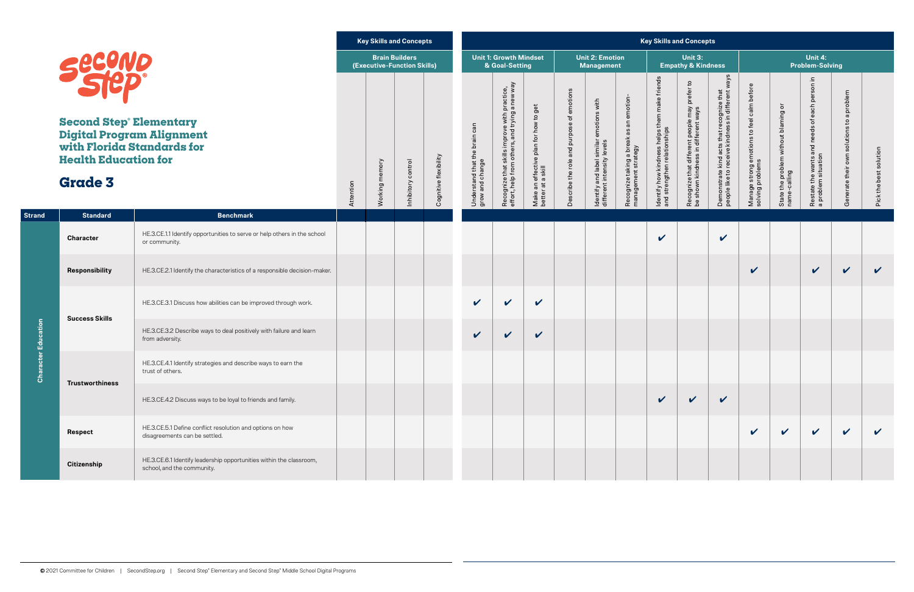|               |                                                                                                                                                                                         |                                                                                                   |           |                     | <b>Key Skills and Concepts</b>                       |                       |                                                  |                                                                                                                          |                                                            |                                                |                                                                           |                                                                | <b>Key Skills and Concepts</b>                                                |                                                                                      |                                                                                                |                                                                |                                                      |                                                                                                            |                                                                           |                        |
|---------------|-----------------------------------------------------------------------------------------------------------------------------------------------------------------------------------------|---------------------------------------------------------------------------------------------------|-----------|---------------------|------------------------------------------------------|-----------------------|--------------------------------------------------|--------------------------------------------------------------------------------------------------------------------------|------------------------------------------------------------|------------------------------------------------|---------------------------------------------------------------------------|----------------------------------------------------------------|-------------------------------------------------------------------------------|--------------------------------------------------------------------------------------|------------------------------------------------------------------------------------------------|----------------------------------------------------------------|------------------------------------------------------|------------------------------------------------------------------------------------------------------------|---------------------------------------------------------------------------|------------------------|
|               |                                                                                                                                                                                         |                                                                                                   |           |                     | <b>Brain Builders</b><br>(Executive-Function Skills) |                       |                                                  | <b>Unit 1: Growth Mindset</b><br>& Goal-Setting                                                                          |                                                            |                                                | <b>Unit 2: Emotion</b><br><b>Management</b>                               |                                                                |                                                                               | Unit 3:<br><b>Empathy &amp; Kindness</b>                                             |                                                                                                |                                                                |                                                      | Unit 4:<br><b>Problem-Solving</b>                                                                          |                                                                           |                        |
|               | <b>Second Step Elementary</b><br><b>Digital Program Alignment</b><br>with Florida Standards for<br><b>Health Education for</b><br><b>Grade 3</b><br><b>Standard</b><br><b>Benchmark</b> |                                                                                                   | Attention | memory<br>Working r | Inhibitory control                                   | Cognitive flexibility | Understand that the brain can<br>grow and change | practice,<br>J a new way<br>improve with p<br>ars, and trying a<br>Recognize that skills im<br>effort, help from others, | Make an effective plan for how to get<br>better at a skill | emotions<br>Ⴆ<br>Describe the role and purpose | emotions with<br>Identify and label similar<br>different intensity levels | Recognize taking a break as an emotion-<br>management strategy | ldentify how kindness helps them make friends<br>and strengthen relationships | Recognize that different people may prefer to<br>be shown kindness in different ways | Demonstrate kind acts that recognize that<br>people like to receive kindness in different ways | Manage strong emotions to feel calm before<br>solving problems | State the problem without blaming or<br>name-calling | each person in<br>$\overleftarrow{\mathrm{o}}$<br>and needs<br>Restate the wants ar<br>a problem situation | problem<br>$\boldsymbol{\varpi}$<br>solutions to<br>own<br>Generate their | Pick the best solution |
| <b>Strand</b> |                                                                                                                                                                                         |                                                                                                   |           |                     |                                                      |                       |                                                  |                                                                                                                          |                                                            |                                                |                                                                           |                                                                |                                                                               |                                                                                      |                                                                                                |                                                                |                                                      |                                                                                                            |                                                                           |                        |
|               | <b>Character</b>                                                                                                                                                                        | HE.3.CE.1.1 Identify opportunities to serve or help others in the school<br>or community.         |           |                     |                                                      |                       |                                                  |                                                                                                                          |                                                            |                                                |                                                                           |                                                                | $\checkmark$                                                                  |                                                                                      | $\checkmark$                                                                                   |                                                                |                                                      |                                                                                                            |                                                                           |                        |
|               | Responsibility                                                                                                                                                                          | HE.3.CE.2.1 Identify the characteristics of a responsible decision-maker.                         |           |                     |                                                      |                       |                                                  |                                                                                                                          |                                                            |                                                |                                                                           |                                                                |                                                                               |                                                                                      |                                                                                                | $\checkmark$                                                   |                                                      | $\checkmark$                                                                                               | $\checkmark$                                                              | $\checkmark$           |
|               | <b>Success Skills</b>                                                                                                                                                                   | HE.3.CE.3.1 Discuss how abilities can be improved through work.                                   |           |                     |                                                      |                       | $\mathbf v$                                      | $\mathbf v$                                                                                                              | $\checkmark$                                               |                                                |                                                                           |                                                                |                                                                               |                                                                                      |                                                                                                |                                                                |                                                      |                                                                                                            |                                                                           |                        |
| Education     |                                                                                                                                                                                         | HE.3.CE.3.2 Describe ways to deal positively with failure and learn<br>from adversity.            |           |                     |                                                      |                       | $\mathbf v$                                      | $\checkmark$                                                                                                             | $\checkmark$                                               |                                                |                                                                           |                                                                |                                                                               |                                                                                      |                                                                                                |                                                                |                                                      |                                                                                                            |                                                                           |                        |
| Char          | <b>Trustworthiness</b>                                                                                                                                                                  | HE.3.CE.4.1 Identify strategies and describe ways to earn the<br>trust of others.                 |           |                     |                                                      |                       |                                                  |                                                                                                                          |                                                            |                                                |                                                                           |                                                                |                                                                               |                                                                                      |                                                                                                |                                                                |                                                      |                                                                                                            |                                                                           |                        |
|               |                                                                                                                                                                                         | HE.3.CE.4.2 Discuss ways to be loyal to friends and family.                                       |           |                     |                                                      |                       |                                                  |                                                                                                                          |                                                            |                                                |                                                                           |                                                                | $\checkmark$                                                                  | $\checkmark$                                                                         | $\checkmark$                                                                                   |                                                                |                                                      |                                                                                                            |                                                                           |                        |
|               | <b>Respect</b>                                                                                                                                                                          | HE.3.CE.5.1 Define conflict resolution and options on how<br>disagreements can be settled.        |           |                     |                                                      |                       |                                                  |                                                                                                                          |                                                            |                                                |                                                                           |                                                                |                                                                               |                                                                                      |                                                                                                | $\boldsymbol{\mathcal{U}}$                                     | $\checkmark$                                         | $\checkmark$                                                                                               | $\checkmark$                                                              | $\checkmark$           |
|               | <b>Citizenship</b>                                                                                                                                                                      | HE.3.CE.6.1 Identify leadership opportunities within the classroom,<br>school, and the community. |           |                     |                                                      |                       |                                                  |                                                                                                                          |                                                            |                                                |                                                                           |                                                                |                                                                               |                                                                                      |                                                                                                |                                                                |                                                      |                                                                                                            |                                                                           |                        |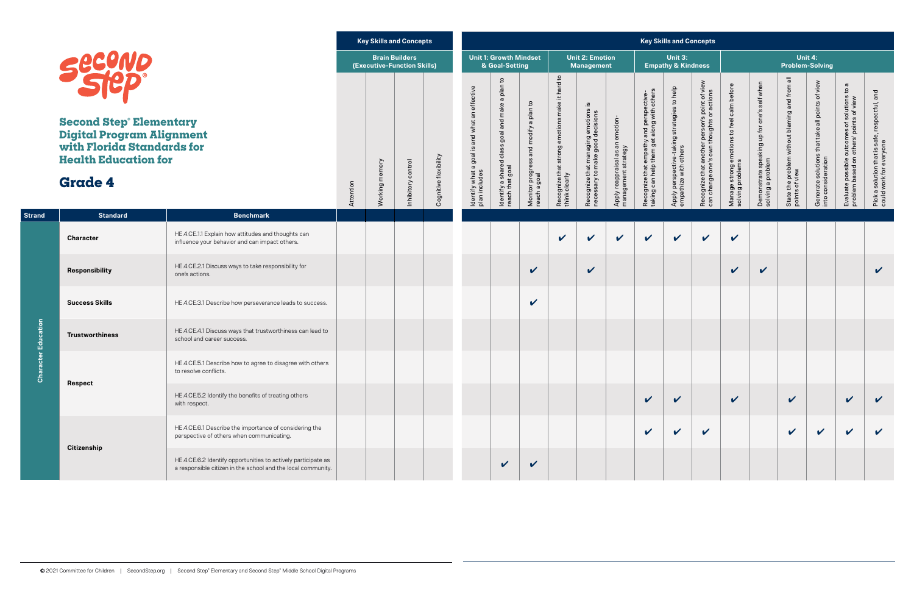|               |                                                                                                                                                                                         |                                                                                                                               |           |                | <b>Key Skills and Concepts</b>                       |                       |                                                                |                                                                    |                                                       |                                                                 |                                                                         |                                                         |                                                                                       | <b>Key Skills and Concepts</b>                                       |                                                                                           |                                                                |                                                                  |                                                                  |                                                                       |                                                                                                                               |                                                                          |
|---------------|-----------------------------------------------------------------------------------------------------------------------------------------------------------------------------------------|-------------------------------------------------------------------------------------------------------------------------------|-----------|----------------|------------------------------------------------------|-----------------------|----------------------------------------------------------------|--------------------------------------------------------------------|-------------------------------------------------------|-----------------------------------------------------------------|-------------------------------------------------------------------------|---------------------------------------------------------|---------------------------------------------------------------------------------------|----------------------------------------------------------------------|-------------------------------------------------------------------------------------------|----------------------------------------------------------------|------------------------------------------------------------------|------------------------------------------------------------------|-----------------------------------------------------------------------|-------------------------------------------------------------------------------------------------------------------------------|--------------------------------------------------------------------------|
|               | <b>Second</b>                                                                                                                                                                           |                                                                                                                               |           |                | <b>Brain Builders</b><br>(Executive-Function Skills) |                       |                                                                | <b>Unit 1: Growth Mindset</b><br>& Goal-Setting                    |                                                       |                                                                 | <b>Unit 2: Emotion</b><br><b>Management</b>                             |                                                         |                                                                                       | Unit 3:<br><b>Empathy &amp; Kindness</b>                             |                                                                                           |                                                                |                                                                  | Unit 4:                                                          | <b>Problem-Solving</b>                                                |                                                                                                                               |                                                                          |
|               | <b>Second Step Elementary</b><br><b>Digital Program Alignment</b><br>with Florida Standards for<br><b>Health Education for</b><br><b>Grade 4</b><br><b>Standard</b><br><b>Benchmark</b> |                                                                                                                               | Attention | Working memory | Inhibitory control                                   | Cognitive flexibility | ldentify what a goal is and what an effective<br>plan includes | ldentify a shared class goal and make a plan to<br>reach that goal | Monitor progress and modify a plan to<br>reach a goal | Recognize that strong emotions make it hard to<br>think clearly | Recognize that managing emotions is<br>necessary to make good decisions | Apply reappraisal as an emotion-<br>management strategy | Recognize that empathy and perspective-<br>taking can help them get along with others | Apply perspective-taking strategies to help<br>empathize with others | Recognize that another person's point of view<br>can change one's own thoughts or actions | Manage strong emotions to feel calm before<br>solving problems | Demonstrate speaking up for one's self when<br>solving a problem | State the problem without blaming and from all<br>points of view | Generate solutions that take all points of view<br>into consideration | $\boldsymbol{\varpi}$<br>$\mathfrak{a}$<br>Evaluate possible outcomes of solutions<br>problem based on others' points of view | Pick a solution that is safe, respectful, and<br>could work for everyone |
| <b>Strand</b> |                                                                                                                                                                                         |                                                                                                                               |           |                |                                                      |                       |                                                                |                                                                    |                                                       |                                                                 |                                                                         |                                                         |                                                                                       |                                                                      |                                                                                           |                                                                |                                                                  |                                                                  |                                                                       |                                                                                                                               |                                                                          |
|               | <b>Character</b>                                                                                                                                                                        | HE.4.CE.1.1 Explain how attitudes and thoughts can<br>influence your behavior and can impact others.                          |           |                |                                                      |                       |                                                                |                                                                    |                                                       | $\boldsymbol{\mathcal{U}}$                                      | $\boldsymbol{\mathcal{U}}$                                              | $\checkmark$                                            | $\checkmark$                                                                          | $\checkmark$                                                         | $\checkmark$                                                                              | $\checkmark$                                                   |                                                                  |                                                                  |                                                                       |                                                                                                                               |                                                                          |
|               | Responsibility                                                                                                                                                                          | HE.4.CE.2.1 Discuss ways to take responsibility for<br>one's actions.                                                         |           |                |                                                      |                       |                                                                |                                                                    | $\mathbf{v}$                                          |                                                                 | $\boldsymbol{\mathcal{U}}$                                              |                                                         |                                                                                       |                                                                      |                                                                                           | $\checkmark$                                                   | $\checkmark$                                                     |                                                                  |                                                                       |                                                                                                                               | $\boldsymbol{\mathcal{U}}$                                               |
|               | <b>Success Skills</b>                                                                                                                                                                   | HE.4.CE.3.1 Describe how perseverance leads to success.                                                                       |           |                |                                                      |                       |                                                                |                                                                    | $\boldsymbol{\mathcal{U}}$                            |                                                                 |                                                                         |                                                         |                                                                                       |                                                                      |                                                                                           |                                                                |                                                                  |                                                                  |                                                                       |                                                                                                                               |                                                                          |
| Education     | <b>Trustworthiness</b>                                                                                                                                                                  | HE.4.CE.4.1 Discuss ways that trustworthiness can lead to<br>school and career success.                                       |           |                |                                                      |                       |                                                                |                                                                    |                                                       |                                                                 |                                                                         |                                                         |                                                                                       |                                                                      |                                                                                           |                                                                |                                                                  |                                                                  |                                                                       |                                                                                                                               |                                                                          |
| Chai          |                                                                                                                                                                                         | HE.4.CE.5.1 Describe how to agree to disagree with others<br>to resolve conflicts.                                            |           |                |                                                      |                       |                                                                |                                                                    |                                                       |                                                                 |                                                                         |                                                         |                                                                                       |                                                                      |                                                                                           |                                                                |                                                                  |                                                                  |                                                                       |                                                                                                                               |                                                                          |
|               | <b>Respect</b>                                                                                                                                                                          | HE.4.CE.5.2 Identify the benefits of treating others<br>with respect.                                                         |           |                |                                                      |                       |                                                                |                                                                    |                                                       |                                                                 |                                                                         |                                                         | $\checkmark$                                                                          | $\checkmark$                                                         |                                                                                           | $\checkmark$                                                   |                                                                  | $\checkmark$                                                     |                                                                       | $\mathbf{v}$                                                                                                                  | $\checkmark$                                                             |
|               |                                                                                                                                                                                         | HE.4.CE.6.1 Describe the importance of considering the<br>perspective of others when communicating.                           |           |                |                                                      |                       |                                                                |                                                                    |                                                       |                                                                 |                                                                         |                                                         | $\boldsymbol{\mathcal{U}}$                                                            | $\checkmark$                                                         | $\checkmark$                                                                              |                                                                |                                                                  | $\checkmark$                                                     | $\checkmark$                                                          | $\checkmark$                                                                                                                  | $\mathbf v$                                                              |
|               | <b>Citizenship</b>                                                                                                                                                                      | HE.4.CE.6.2 Identify opportunities to actively participate as<br>a responsible citizen in the school and the local community. |           |                |                                                      |                       |                                                                | $\checkmark$                                                       | $\checkmark$                                          |                                                                 |                                                                         |                                                         |                                                                                       |                                                                      |                                                                                           |                                                                |                                                                  |                                                                  |                                                                       |                                                                                                                               |                                                                          |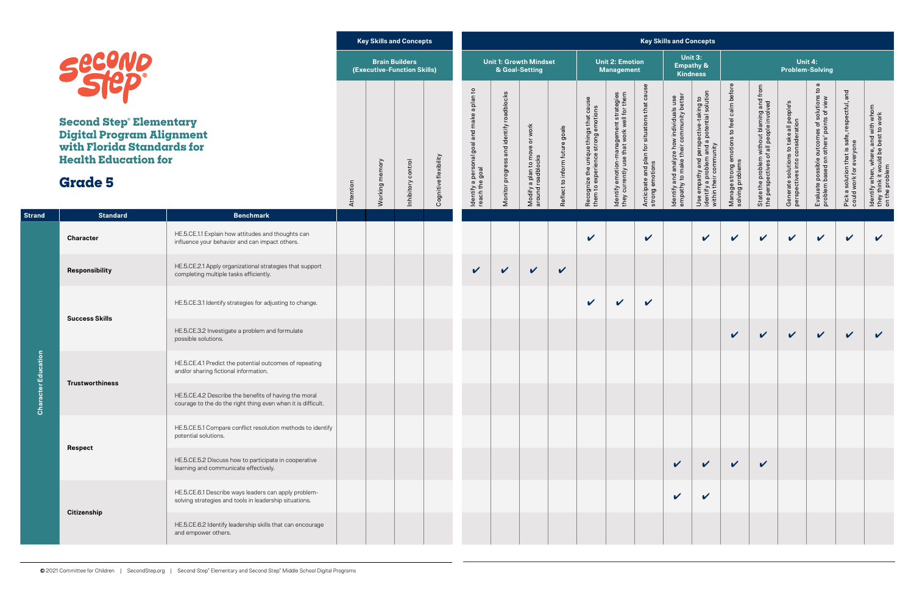|                      |                                                                                                                                                  |                                                                                                                       |           |                | <b>Key Skills and Concepts</b>                       |                       |                                                               |                                          |                                                    |                                |                                                                              |                                                                                     |                                                                  | <b>Key Skills and Concepts</b>                                                     |                                                                                                                |                                                               |                                                                                       |                                                                            |                                                                                                                             |                                                                          |                                                                                              |
|----------------------|--------------------------------------------------------------------------------------------------------------------------------------------------|-----------------------------------------------------------------------------------------------------------------------|-----------|----------------|------------------------------------------------------|-----------------------|---------------------------------------------------------------|------------------------------------------|----------------------------------------------------|--------------------------------|------------------------------------------------------------------------------|-------------------------------------------------------------------------------------|------------------------------------------------------------------|------------------------------------------------------------------------------------|----------------------------------------------------------------------------------------------------------------|---------------------------------------------------------------|---------------------------------------------------------------------------------------|----------------------------------------------------------------------------|-----------------------------------------------------------------------------------------------------------------------------|--------------------------------------------------------------------------|----------------------------------------------------------------------------------------------|
|                      |                                                                                                                                                  |                                                                                                                       |           |                | <b>Brain Builders</b><br>(Executive-Function Skills) |                       |                                                               |                                          | <b>Unit 1: Growth Mindset</b><br>& Goal-Setting    |                                |                                                                              | <b>Unit 2: Emotion</b><br><b>Management</b>                                         |                                                                  |                                                                                    | Unit 3:<br><b>Empathy &amp;</b><br><b>Kindness</b>                                                             |                                                               |                                                                                       |                                                                            | Unit 4:<br><b>Problem-Solving</b>                                                                                           |                                                                          |                                                                                              |
|                      | <b>Second Step Elementary</b><br><b>Digital Program Alignment</b><br>with Florida Standards for<br><b>Health Education for</b><br><b>Grade 5</b> |                                                                                                                       | Attention | Working memory | control<br>Inhibitory                                | Cognitive flexibility | ldentify a personal goal and make a plan to<br>reach the goal | Monitor progress and identify roadblocks | Modify a plan to move or work<br>around roadblocks | Reflect to inform future goals | Recognize the unique things that cause<br>them to experience strong emotions | dentify emotion-management strategies<br>they currently use that work well for them | Anticipate and plan for situations that cause<br>strong emotions | Identify and analyze how individuals use<br>empathy to make their community better | Use empathy and perspective-taking to<br>identify a problem and a potential solution<br>within their community | Manage strong emotions to feel calm befor<br>solving problems | State the problem without blaming and from<br>the perspectives of all people involved | Generate solutions to take all people's<br>perspectives into consideration | $\boldsymbol{\varpi}$<br>$\mathtt{S}$<br>Evaluate possible outcomes of solutions<br>problem based on others' points of view | Pick a solution that is safe, respectful, and<br>could work for everyone | ldentify when, where, and with whom<br>they think it would be best to work<br>on the problem |
| <b>Strand</b>        | <b>Standard</b>                                                                                                                                  | <b>Benchmark</b>                                                                                                      |           |                |                                                      |                       |                                                               |                                          |                                                    |                                |                                                                              |                                                                                     |                                                                  |                                                                                    |                                                                                                                |                                                               |                                                                                       |                                                                            |                                                                                                                             |                                                                          |                                                                                              |
|                      | <b>Character</b>                                                                                                                                 | HE.5.CE.1.1 Explain how attitudes and thoughts can<br>influence your behavior and can impact others.                  |           |                |                                                      |                       |                                                               |                                          |                                                    |                                | $\boldsymbol{\mathcal{U}}$                                                   |                                                                                     | $\boldsymbol{\mathcal{U}}$                                       |                                                                                    | $\checkmark$                                                                                                   | $\checkmark$                                                  | $\checkmark$                                                                          | $\checkmark$                                                               | $\checkmark$                                                                                                                | $\mathbf v$                                                              | $\boldsymbol{\mathcal{U}}$                                                                   |
|                      | Responsibility                                                                                                                                   | HE.5.CE.2.1 Apply organizational strategies that support<br>completing multiple tasks efficiently.                    |           |                |                                                      |                       | $\mathbf v$                                                   | $\checkmark$                             | $\checkmark$                                       | $\boldsymbol{\mathcal{U}}$     |                                                                              |                                                                                     |                                                                  |                                                                                    |                                                                                                                |                                                               |                                                                                       |                                                                            |                                                                                                                             |                                                                          |                                                                                              |
|                      | <b>Success Skills</b>                                                                                                                            | HE.5.CE.3.1 Identify strategies for adjusting to change.                                                              |           |                |                                                      |                       |                                                               |                                          |                                                    |                                | $\checkmark$                                                                 | $\checkmark$                                                                        | $\checkmark$                                                     |                                                                                    |                                                                                                                |                                                               |                                                                                       |                                                                            |                                                                                                                             |                                                                          |                                                                                              |
|                      |                                                                                                                                                  | HE.5.CE.3.2 Investigate a problem and formulate<br>possible solutions.                                                |           |                |                                                      |                       |                                                               |                                          |                                                    |                                |                                                                              |                                                                                     |                                                                  |                                                                                    |                                                                                                                | $\checkmark$                                                  | $\checkmark$                                                                          | $\checkmark$                                                               | $\checkmark$                                                                                                                | $\mathbf v$                                                              | $\checkmark$                                                                                 |
| ation                | <b>Trustworthiness</b>                                                                                                                           | HE.5.CE.4.1 Predict the potential outcomes of repeating<br>and/or sharing fictional information.                      |           |                |                                                      |                       |                                                               |                                          |                                                    |                                |                                                                              |                                                                                     |                                                                  |                                                                                    |                                                                                                                |                                                               |                                                                                       |                                                                            |                                                                                                                             |                                                                          |                                                                                              |
| <b>Character Edu</b> |                                                                                                                                                  | HE.5.CE.4.2 Describe the benefits of having the moral<br>courage to the do the right thing even when it is difficult. |           |                |                                                      |                       |                                                               |                                          |                                                    |                                |                                                                              |                                                                                     |                                                                  |                                                                                    |                                                                                                                |                                                               |                                                                                       |                                                                            |                                                                                                                             |                                                                          |                                                                                              |
|                      | <b>Respect</b>                                                                                                                                   | HE.5.CE.5.1 Compare conflict resolution methods to identify<br>potential solutions.                                   |           |                |                                                      |                       |                                                               |                                          |                                                    |                                |                                                                              |                                                                                     |                                                                  |                                                                                    |                                                                                                                |                                                               |                                                                                       |                                                                            |                                                                                                                             |                                                                          |                                                                                              |
|                      |                                                                                                                                                  | HE.5.CE.5.2 Discuss how to participate in cooperative<br>learning and communicate effectively.                        |           |                |                                                      |                       |                                                               |                                          |                                                    |                                |                                                                              |                                                                                     |                                                                  | $\checkmark$                                                                       | $\checkmark$                                                                                                   | $\checkmark$                                                  | $\checkmark$                                                                          |                                                                            |                                                                                                                             |                                                                          |                                                                                              |
|                      |                                                                                                                                                  | HE.5.CE.6.1 Describe ways leaders can apply problem-<br>solving strategies and tools in leadership situations.        |           |                |                                                      |                       |                                                               |                                          |                                                    |                                |                                                                              |                                                                                     |                                                                  | $\mathbf v$                                                                        | $\boldsymbol{\mathcal{U}}$                                                                                     |                                                               |                                                                                       |                                                                            |                                                                                                                             |                                                                          |                                                                                              |
|                      | <b>Citizenship</b>                                                                                                                               | HE.5.CE.6.2 Identify leadership skills that can encourage<br>and empower others.                                      |           |                |                                                      |                       |                                                               |                                          |                                                    |                                |                                                                              |                                                                                     |                                                                  |                                                                                    |                                                                                                                |                                                               |                                                                                       |                                                                            |                                                                                                                             |                                                                          |                                                                                              |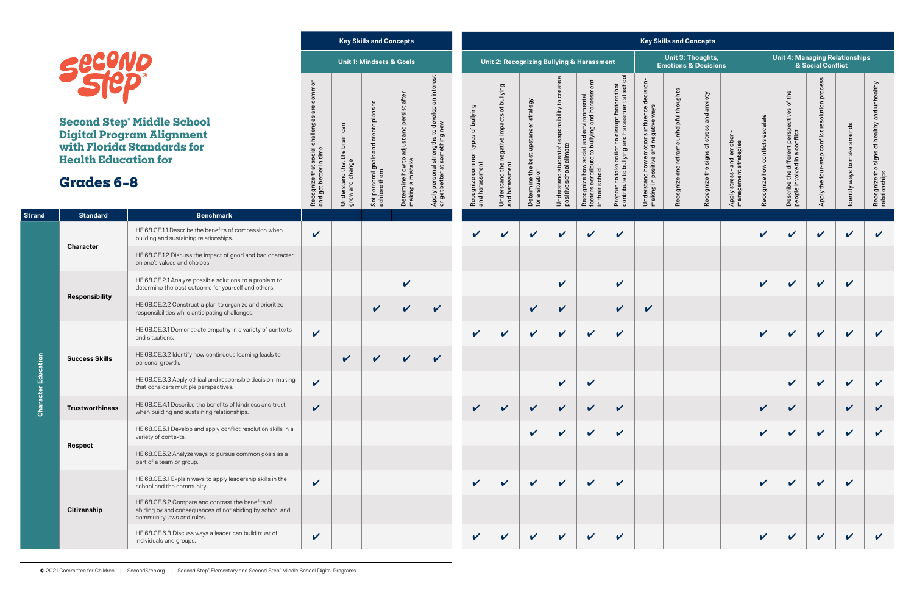

**Second Step® Midd Digital Program Al with Florida Stand Health Education** 

**Character Education**

Character

Education

|                                                  |                                                                                                                                            |                                                            |                                        | <b>Key Skills and Concepts</b>       |                                        |                                                                                                    |                                                      |                                                                |                                       |                                                                               |                                                                        |                                                                             |                                                                                          | <b>Key Skills and Concepts</b>                       |                              |                                 |                            |                                                                     |                                                    |                               |                                                               |
|--------------------------------------------------|--------------------------------------------------------------------------------------------------------------------------------------------|------------------------------------------------------------|----------------------------------------|--------------------------------------|----------------------------------------|----------------------------------------------------------------------------------------------------|------------------------------------------------------|----------------------------------------------------------------|---------------------------------------|-------------------------------------------------------------------------------|------------------------------------------------------------------------|-----------------------------------------------------------------------------|------------------------------------------------------------------------------------------|------------------------------------------------------|------------------------------|---------------------------------|----------------------------|---------------------------------------------------------------------|----------------------------------------------------|-------------------------------|---------------------------------------------------------------|
|                                                  |                                                                                                                                            |                                                            |                                        | <b>Unit 1: Mindsets &amp; Goals</b>  |                                        |                                                                                                    |                                                      |                                                                |                                       |                                                                               | Unit 2: Recognizing Bullying & Harassment                              |                                                                             |                                                                                          | Unit 3: Thoughts,<br><b>Emotions &amp; Decisions</b> |                              |                                 |                            | <b>Unit 4: Managing Relationships</b>                               | & Social Conflict                                  |                               |                                                               |
| <b>Second</b>                                    | <b>Second Step° Middle School</b><br><b>Digital Program Alignment</b><br>vith Florida Standards for                                        | common<br>$\omega$<br>$\frac{5}{10}$                       | can<br>$\frac{1}{\overline{a}}$<br>ة   | and create plans to                  | adjust and persist after               | interest<br>to develop an i<br><sub>I</sub> new<br>$\mathbf{S}$<br>l strengths to<br>: something r | Recognize common types of bullying<br>and harassment | bullying<br>$\rm 5$<br>impacts<br>$\mathbf \omega$<br>negative | strategy<br>: upstander :             | ω<br>Understand students' responsibility to create<br>positive school climate | l and environmental<br>bullying and harassment<br>cial<br>$\mathbf{S}$ | take action to disrupt factors that<br>to bullying and harassment at school | decision-<br>Understand how emotions influence o<br>making in positive and negative ways | Recognize and reframe unhelpful thoughts             | anxiety<br>and<br>stres<br>đ | and emotion-<br>strategies      | escalate<br>conflicts      | the<br>ঁত<br>$\omega$                                               | process<br>Apply the four-step conflict resolution | amends<br>make                | Recognize the signs of healthy and unhealthy<br>relationships |
| <b>Iealth Education for</b><br><b>Stades 6-8</b> |                                                                                                                                            | Recognize that social challenges<br>and get better in time | Understand that the<br>grow and change | Set personal goals a<br>achieve them | Determine how to a<br>making a mistake | Apply personal s<br>or get better at s                                                             |                                                      | Understand the n<br>and harassment                             | Determine the best<br>for a situation |                                                                               | bute<br>$\overline{S}$<br>how<br>school<br>Recognize<br>in their       | Prepare to t<br>contribute t                                                |                                                                                          |                                                      | signs<br>the<br>Recognize    | Apply stress- a<br>management s | cognize how                | Describe the different perspective<br>people involved in a conflict |                                                    | $\mathbf{c}$<br>Identify ways |                                                               |
| <b>Standard</b>                                  | <b>Benchmark</b>                                                                                                                           |                                                            |                                        |                                      |                                        |                                                                                                    |                                                      |                                                                |                                       |                                                                               |                                                                        |                                                                             |                                                                                          |                                                      |                              |                                 |                            |                                                                     |                                                    |                               |                                                               |
|                                                  | HE.68.CE.1.1 Describe the benefits of compassion when<br>building and sustaining relationships.                                            | $\checkmark$                                               |                                        |                                      |                                        |                                                                                                    | $\boldsymbol{\nu}$                                   | V                                                              | $\checkmark$                          | $\boldsymbol{\nu}$                                                            | $\mathbf v$                                                            | $\boldsymbol{\mathcal{U}}$                                                  |                                                                                          |                                                      |                              |                                 | $\mathbf{v}$               | $\boldsymbol{\nu}$                                                  | $\boldsymbol{\mathcal{U}}$                         | $\boldsymbol{\mathcal{U}}$    | $\mathbf v$                                                   |
| <b>Character</b>                                 | HE.68.CE.1.2 Discuss the impact of good and bad character<br>on one's values and choices.                                                  |                                                            |                                        |                                      |                                        |                                                                                                    |                                                      |                                                                |                                       |                                                                               |                                                                        |                                                                             |                                                                                          |                                                      |                              |                                 |                            |                                                                     |                                                    |                               |                                                               |
|                                                  | HE.68.CE.2.1 Analyze possible solutions to a problem to<br>determine the best outcome for yourself and others.                             |                                                            |                                        |                                      | $\boldsymbol{\mathcal{U}}$             |                                                                                                    |                                                      |                                                                |                                       | $\boldsymbol{\mathcal{U}}$                                                    |                                                                        | $\boldsymbol{\mathcal{U}}$                                                  |                                                                                          |                                                      |                              |                                 | $\boldsymbol{\mathcal{U}}$ | $\boldsymbol{\mathcal{U}}$                                          | $\sqrt{2}$                                         | $\checkmark$                  |                                                               |
| <b>Responsibility</b>                            | HE.68.CE.2.2 Construct a plan to organize and prioritize<br>responsibilities while anticipating challenges.                                |                                                            |                                        | $\checkmark$                         | $\checkmark$                           | $\checkmark$                                                                                       |                                                      |                                                                | $\checkmark$                          | $\checkmark$                                                                  |                                                                        | $\boldsymbol{\mathcal{U}}$                                                  | $\boldsymbol{\mathcal{U}}$                                                               |                                                      |                              |                                 |                            |                                                                     |                                                    |                               |                                                               |
|                                                  | HE.68.CE.3.1 Demonstrate empathy in a variety of contexts<br>and situations.                                                               | $\boldsymbol{\mathcal{U}}$                                 |                                        |                                      |                                        |                                                                                                    | $\checkmark$                                         | $\boldsymbol{\mathcal{U}}$                                     | $\checkmark$                          | $\boldsymbol{\mathcal{U}}$                                                    | $\vee$                                                                 | $\boldsymbol{\mathcal{U}}$                                                  |                                                                                          |                                                      |                              |                                 | $\mathbf{v}$               | $\mathbf v$                                                         | $\checkmark$                                       | $\boldsymbol{\mathcal{U}}$    | $\boldsymbol{\mathcal{U}}$                                    |
| <b>Success Skills</b>                            | HE.68.CE.3.2 Identify how continuous learning leads to<br>personal growth.                                                                 |                                                            | $\checkmark$                           | $\checkmark$                         | $\boldsymbol{\mathcal{U}}$             | $\checkmark$                                                                                       |                                                      |                                                                |                                       |                                                                               |                                                                        |                                                                             |                                                                                          |                                                      |                              |                                 |                            |                                                                     |                                                    |                               |                                                               |
|                                                  | HE.68.CE.3.3 Apply ethical and responsible decision-making<br>that considers multiple perspectives.                                        | $\boldsymbol{\mathcal{U}}$                                 |                                        |                                      |                                        |                                                                                                    |                                                      |                                                                |                                       | $\boldsymbol{\mathcal{U}}$                                                    | $\mathbf v$                                                            |                                                                             |                                                                                          |                                                      |                              |                                 |                            | $\boldsymbol{\mathcal{U}}$                                          | $\mathbf v$                                        | $\checkmark$                  | $\checkmark$                                                  |
| <b>Trustworthiness</b>                           | HE.68.CE.4.1 Describe the benefits of kindness and trust<br>when building and sustaining relationships.                                    | $\checkmark$                                               |                                        |                                      |                                        |                                                                                                    | $\checkmark$                                         | $\checkmark$                                                   | $\checkmark$                          | $\mathbf v$                                                                   | $\checkmark$                                                           | $\mathbf v$                                                                 |                                                                                          |                                                      |                              |                                 | $\checkmark$               | $\checkmark$                                                        |                                                    | $\checkmark$                  | $\checkmark$                                                  |
|                                                  | HE.68.CE.5.1 Develop and apply conflict resolution skills in a<br>variety of contexts.                                                     |                                                            |                                        |                                      |                                        |                                                                                                    |                                                      |                                                                | $\boldsymbol{\mathcal{U}}$            | $\checkmark$                                                                  | $\checkmark$                                                           | $\boldsymbol{\mathcal{U}}$                                                  |                                                                                          |                                                      |                              |                                 | $\boldsymbol{\nu}$         | $\mathbf v$                                                         | $\checkmark$                                       | $\checkmark$                  | $\checkmark$                                                  |
| <b>Respect</b>                                   | HE.68.CE.5.2 Analyze ways to pursue common goals as a<br>part of a team or group.                                                          |                                                            |                                        |                                      |                                        |                                                                                                    |                                                      |                                                                |                                       |                                                                               |                                                                        |                                                                             |                                                                                          |                                                      |                              |                                 |                            |                                                                     |                                                    |                               |                                                               |
|                                                  | HE.68.CE.6.1 Explain ways to apply leadership skills in the<br>school and the community.                                                   | $\mathbf v$                                                |                                        |                                      |                                        |                                                                                                    | $\mathbf v$                                          | $\checkmark$                                                   | $\mathbf v$                           | $\mathbf v$                                                                   | $\checkmark$                                                           | $\boldsymbol{\mathcal{U}}$                                                  |                                                                                          |                                                      |                              |                                 | $\mathbf v$                | $\mathbf v$                                                         | $\checkmark$                                       | $\mathbf v$                   |                                                               |
| <b>Citizenship</b>                               | HE.68.CE.6.2 Compare and contrast the benefits of<br>abiding by and consequences of not abiding by school and<br>community laws and rules. |                                                            |                                        |                                      |                                        |                                                                                                    |                                                      |                                                                |                                       |                                                                               |                                                                        |                                                                             |                                                                                          |                                                      |                              |                                 |                            |                                                                     |                                                    |                               |                                                               |
|                                                  | HE.68.CE.6.3 Discuss ways a leader can build trust of<br>individuals and groups.                                                           | $\checkmark$                                               |                                        |                                      |                                        |                                                                                                    | $\checkmark$                                         | $\boldsymbol{\mathcal{U}}$                                     | $\checkmark$                          | $\checkmark$                                                                  | $\checkmark$                                                           | $\checkmark$                                                                |                                                                                          |                                                      |                              |                                 | $\checkmark$               | $\checkmark$                                                        | $\vee$                                             | $\mathbf v$                   | $\mathbf v$                                                   |

## **Grades 6–8**

**Strand Bendard**